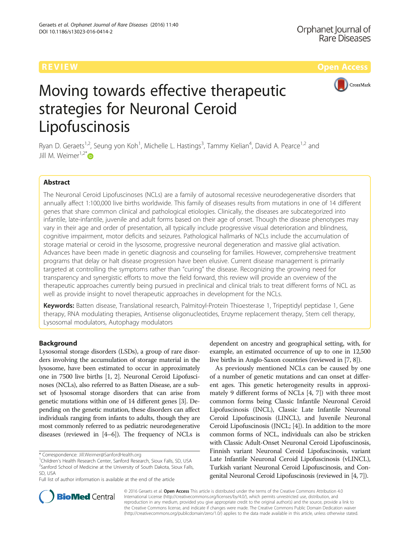

# Moving towards effective therapeutic strategies for Neuronal Ceroid Lipofuscinosis

Ryan D. Geraets<sup>1,2</sup>, Seung yon Koh<sup>1</sup>, Michelle L. Hastings<sup>3</sup>, Tammy Kielian<sup>4</sup>, David A. Pearce<sup>1,2</sup> and Jill M. Weimer $1.2^{*}$  D

# Abstract

The Neuronal Ceroid Lipofuscinoses (NCLs) are a family of autosomal recessive neurodegenerative disorders that annually affect 1:100,000 live births worldwide. This family of diseases results from mutations in one of 14 different genes that share common clinical and pathological etiologies. Clinically, the diseases are subcategorized into infantile, late-infantile, juvenile and adult forms based on their age of onset. Though the disease phenotypes may vary in their age and order of presentation, all typically include progressive visual deterioration and blindness, cognitive impairment, motor deficits and seizures. Pathological hallmarks of NCLs include the accumulation of storage material or ceroid in the lysosome, progressive neuronal degeneration and massive glial activation. Advances have been made in genetic diagnosis and counseling for families. However, comprehensive treatment programs that delay or halt disease progression have been elusive. Current disease management is primarily targeted at controlling the symptoms rather than "curing" the disease. Recognizing the growing need for transparency and synergistic efforts to move the field forward, this review will provide an overview of the therapeutic approaches currently being pursued in preclinical and clinical trials to treat different forms of NCL as well as provide insight to novel therapeutic approaches in development for the NCLs.

Keywords: Batten disease, Translational research, Palmitoyl-Protein Thioesterase 1, Tripeptidyl peptidase 1, Gene therapy, RNA modulating therapies, Antisense oligonucleotides, Enzyme replacement therapy, Stem cell therapy, Lysosomal modulators, Autophagy modulators

#### **Background**

Lysosomal storage disorders (LSDs), a group of rare disorders involving the accumulation of storage material in the lysosome, have been estimated to occur in approximately one in 7500 live births [[1](#page-8-0), [2\]](#page-8-0). Neuronal Ceroid Lipofuscinoses (NCLs), also referred to as Batten Disease, are a subset of lysosomal storage disorders that can arise from genetic mutations within one of 14 different genes [\[3\]](#page-8-0). Depending on the genetic mutation, these disorders can affect individuals ranging from infants to adults, though they are most commonly referred to as pediatric neurodegenerative diseases (reviewed in [\[4](#page-8-0)–[6\]](#page-8-0)). The frequency of NCLs is

dependent on ancestry and geographical setting, with, for example, an estimated occurrence of up to one in 12,500 live births in Anglo-Saxon countries (reviewed in [\[7](#page-8-0), [8\]](#page-8-0)).

As previously mentioned NCLs can be caused by one of a number of genetic mutations and can onset at different ages. This genetic heterogeneity results in approximately 9 different forms of NCLs [\[4](#page-8-0), [7\]](#page-8-0)) with three most common forms being Classic Infantile Neuronal Ceroid Lipofuscinosis (INCL), Classic Late Infantile Neuronal Ceroid Lipofuscinosis (LINCL), and Juvenile Neuronal Ceroid Lipofuscinosis (JNCL; [\[4](#page-8-0)]). In addition to the more common forms of NCL, individuals can also be stricken with Classic Adult-Onset Neuronal Ceroid Lipofuscinosis, Finnish variant Neuronal Ceroid Lipofuscinosis, variant Late Infantile Neuronal Ceroid Lipofuscinosis (vLINCL), Turkish variant Neuronal Ceroid Lipofuscinosis, and Congenital Neuronal Ceroid Lipofuscinosis (reviewed in [\[4, 7](#page-8-0)]).



© 2016 Geraets et al. Open Access This article is distributed under the terms of the Creative Commons Attribution 4.0 International License [\(http://creativecommons.org/licenses/by/4.0/](http://creativecommons.org/licenses/by/4.0/)), which permits unrestricted use, distribution, and reproduction in any medium, provided you give appropriate credit to the original author(s) and the source, provide a link to the Creative Commons license, and indicate if changes were made. The Creative Commons Public Domain Dedication waiver [\(http://creativecommons.org/publicdomain/zero/1.0/](http://creativecommons.org/publicdomain/zero/1.0/)) applies to the data made available in this article, unless otherwise stated.

<sup>\*</sup> Correspondence: [Jill.Weimer@SanfordHealth.org](mailto:Jill.Weimer@SanfordHealth.org) <sup>1</sup>

<sup>&</sup>lt;sup>1</sup>Children's Health Research Center, Sanford Research, Sioux Falls, SD, USA <sup>2</sup>Sanford School of Medicine at the University of South Dakota, Sioux Falls, SD, USA

Full list of author information is available at the end of the article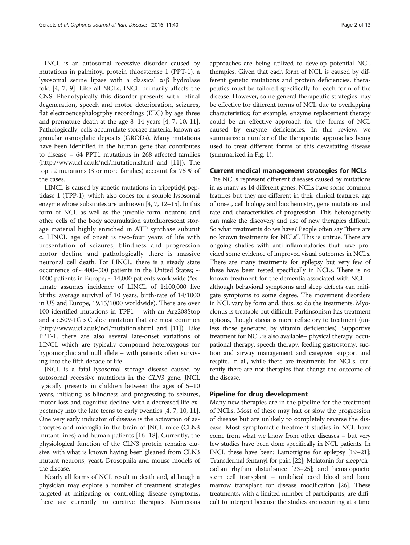INCL is an autosomal recessive disorder caused by mutations in palmitoyl protein thioesterase 1 (PPT-1), a lysosomal serine lipase with a classical α/β hydrolase fold [\[4](#page-8-0), [7](#page-8-0), [9](#page-8-0)]. Like all NCLs, INCL primarily affects the CNS. Phenotypically this disorder presents with retinal degeneration, speech and motor deterioration, seizures, flat electroencephalogrphy recordings (EEG) by age three and premature death at the age 8–14 years [[4, 7](#page-8-0), [10](#page-8-0), [11](#page-8-0)]. Pathologically, cells accumulate storage material known as granular osmophilic deposits (GRODs). Many mutations have been identified in the human gene that contributes to disease – 64 PPT1 mutations in 268 affected families (<http://www.ucl.ac.uk/ncl/mutation.shtml> and [\[11\]](#page-8-0)). The top 12 mutations (3 or more families) account for 75 % of the cases.

LINCL is caused by genetic mutations in tripeptidyl peptidase 1 (TPP-1), which also codes for a soluble lysosomal enzyme whose substrates are unknown [[4](#page-8-0), [7, 12](#page-8-0)–[15\]](#page-8-0). In this form of NCL as well as the juvenile form, neurons and other cells of the body accumulation autofluorescent storage material highly enriched in ATP synthase subunit c. LINCL age of onset is two-four years of life with presentation of seizures, blindness and progression motor decline and pathologically there is massive neuronal cell death. For LINCL, there is a steady state occurrence of  $\sim$  400–500 patients in the United States;  $\sim$ 1000 patients in Europe;  $\sim$  14,000 patients worldwide (\*estimate assumes incidence of LINCL of 1:100,000 live births: average survival of 10 years, birth-rate of 14/1000 in US and Europe, 19.15/1000 worldwide). There are over 100 identified mutations in TPP1 – with an Arg208Stop and a  $c.509-1G > C$  slice mutation that are most common (<http://www.ucl.ac.uk/ncl/mutation.shtml> and [[11](#page-8-0)]). Like PPT-1, there are also several late-onset variations of LINCL which are typically compound heterozygous for hypomorphic and null allele – with patients often surviving into the fifth decade of life.

JNCL is a fatal lysosomal storage disease caused by autosomal recessive mutations in the CLN3 gene. JNCL typically presents in children between the ages of 5–10 years, initiating as blindness and progressing to seizures, motor loss and cognitive decline, with a decreased life expectancy into the late teens to early twenties [[4](#page-8-0), [7](#page-8-0), [10, 11](#page-8-0)]. One very early indicator of disease is the activation of astrocytes and microglia in the brain of JNCL mice (CLN3 mutant lines) and human patients [[16](#page-8-0)–[18\]](#page-8-0). Currently, the physiological function of the CLN3 protein remains elusive, with what is known having been gleaned from CLN3 mutant neurons, yeast, Drosophila and mouse models of the disease.

Nearly all forms of NCL result in death and, although a physician may explore a number of treatment strategies targeted at mitigating or controlling disease symptoms, there are currently no curative therapies. Numerous approaches are being utilized to develop potential NCL therapies. Given that each form of NCL is caused by different genetic mutations and protein deficiencies, therapeutics must be tailored specifically for each form of the disease. However, some general therapeutic strategies may be effective for different forms of NCL due to overlapping characteristics; for example, enzyme replacement therapy could be an effective approach for the forms of NCL caused by enzyme deficiencies. In this review, we summarize a number of the therapeutic approaches being used to treat different forms of this devastating disease (summarized in Fig. [1\)](#page-2-0).

#### Current medical management strategies for NCLs

The NCLs represent different diseases caused by mutations in as many as 14 different genes. NCLs have some common features but they are different in their clinical features, age of onset, cell biology and biochemistry, gene mutations and rate and characteristics of progression. This heterogeneity can make the discovery and use of new therapies difficult. So what treatments do we have? People often say "there are no known treatments for NCLs". This is untrue. There are ongoing studies with anti-inflammatories that have provided some evidence of improved visual outcomes in NCLs. There are many treatments for epilepsy but very few of these have been tested specifically in NCLs. There is no known treatment for the dementia associated with NCL – although behavioral symptoms and sleep defects can mitigate symptoms to some degree. The movement disorders in NCL vary by form and, thus, so do the treatments. Myoclonus is treatable but difficult. Parkinsonism has treatment options, though ataxia is more refractory to treatment (unless those generated by vitamin deficiencies). Supportive treatment for NCL is also available– physical therapy, occupational therapy, speech therapy, feeding gastrostomy, suction and airway management and caregiver support and respite. In all, while there are treatments for NCLs, currently there are not therapies that change the outcome of the disease.

#### Pipeline for drug development

Many new therapies are in the pipeline for the treatment of NCLs. Most of these may halt or slow the progression of disease but are unlikely to completely reverse the disease. Most symptomatic treatment studies in NCL have come from what we know from other diseases – but very few studies have been done specifically in NCL patients. In INCL these have been: Lamotrigine for epilepsy [[19](#page-8-0)–[21](#page-8-0)]; Transdermal fentanyl for pain [\[22](#page-8-0)]; Melatonin for sleep/circadian rhythm disturbance [\[23](#page-8-0)–[25\]](#page-8-0); and hematopoietic stem cell transplant – umbilical cord blood and bone marrow transplant for disease modification [[26](#page-8-0)]. These treatments, with a limited number of participants, are difficult to interpret because the studies are occurring at a time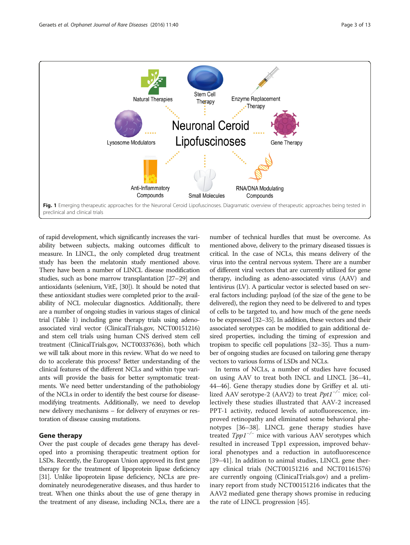<span id="page-2-0"></span>

of rapid development, which significantly increases the variability between subjects, making outcomes difficult to measure. In LINCL, the only completed drug treatment study has been the melatonin study mentioned above. There have been a number of LINCL disease modification studies, such as bone marrow transplantation [[27](#page-8-0)–[29](#page-9-0)] and antioxidants (selenium, VitE, [[30](#page-9-0)]). It should be noted that these antioxidant studies were completed prior to the availability of NCL molecular diagnostics. Additionally, there are a number of ongoing studies in various stages of clinical trial (Table [1\)](#page-3-0) including gene therapy trials using adenoassociated viral vector (ClinicalTrials.gov, NCT00151216) and stem cell trials using human CNS derived stem cell treatment (ClinicalTrials.gov, NCT00337636), both which we will talk about more in this review. What do we need to do to accelerate this process? Better understanding of the clinical features of the different NCLs and within type variants will provide the basis for better symptomatic treatments. We need better understanding of the pathobiology of the NCLs in order to identify the best course for diseasemodifying treatments. Additionally, we need to develop new delivery mechanisms – for delivery of enzymes or restoration of disease causing mutations.

#### Gene therapy

Over the past couple of decades gene therapy has developed into a promising therapeutic treatment option for LSDs. Recently, the European Union approved its first gene therapy for the treatment of lipoprotein lipase deficiency [[31](#page-9-0)]. Unlike lipoprotein lipase deficiency, NCLs are predominately neurodegenerative diseases, and thus harder to treat. When one thinks about the use of gene therapy in the treatment of any disease, including NCLs, there are a

number of technical hurdles that must be overcome. As mentioned above, delivery to the primary diseased tissues is critical. In the case of NCLs, this means delivery of the virus into the central nervous system. There are a number of different viral vectors that are currently utilized for gene therapy, including as adeno-associated virus (AAV) and lentivirus (LV). A particular vector is selected based on several factors including: payload (of the size of the gene to be delivered), the region they need to be delivered to and types of cells to be targeted to, and how much of the gene needs to be expressed [\[32](#page-9-0)–[35](#page-9-0)]. In addition, these vectors and their associated serotypes can be modified to gain additional desired properties, including the timing of expression and tropism to specific cell populations [[32](#page-9-0)–[35](#page-9-0)]. Thus a number of ongoing studies are focused on tailoring gene therapy vectors to various forms of LSDs and NCLs.

In terms of NCLs, a number of studies have focused on using AAV to treat both INCL and LINCL [[36](#page-9-0)–[41](#page-9-0), [44](#page-9-0)–[46](#page-9-0)]. Gene therapy studies done by Griffey et al. utilized AAV serotype-2 (AAV2) to treat  $Ppt1^{-/-}$  mice; collectively these studies illustrated that AAV-2 increased PPT-1 activity, reduced levels of autofluorescence, improved retinopathy and eliminated some behavioral phenotypes [[36](#page-9-0)–[38](#page-9-0)]. LINCL gene therapy studies have treated  $Tpp1^{-/-}$  mice with various AAV serotypes which resulted in increased Tpp1 expression, improved behavioral phenotypes and a reduction in autofluorescence [[39](#page-9-0)–[41](#page-9-0)]. In addition to animal studies, LINCL gene therapy clinical trials (NCT00151216 and NCT01161576) are currently ongoing (ClinicalTrials.gov) and a preliminary report from study NCT00151216 indicates that the AAV2 mediated gene therapy shows promise in reducing the rate of LINCL progression [\[45\]](#page-9-0).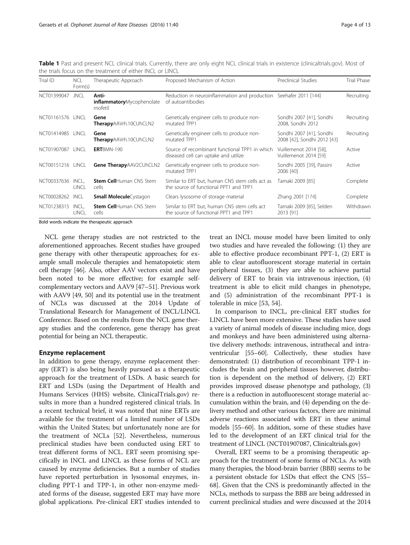<span id="page-3-0"></span>Table 1 Past and present NCL clinical trials. Currently, there are only eight NCL clinical trials in existence (clinicaltrials.gov). Most of the trials focus on the treatment of either INCL or LINCL

| Trial ID          | <b>NCL</b><br>Form(s) | Therapeutic Approach                          | Proposed Mechanism of Action                                                              | <b>Preclinical Studies</b>                              | Trial Phase |
|-------------------|-----------------------|-----------------------------------------------|-------------------------------------------------------------------------------------------|---------------------------------------------------------|-------------|
| NCT01399047       | JNCL.                 | Anti-<br>inflammatoryMycophenolate<br>mofetil | Reduction in neuroinflammation and production Seehafer 2011 [144]<br>of autoantibodies    |                                                         | Recruiting  |
| NCT01161576 LINCL |                       | Gene<br>TherapyAAVrh.10CUhCLN2                | Genetically engineer cells to produce non-<br>mutated TPP1                                | Sondhi 2007 [41], Sondhi<br>2008, Sondhi 2012           | Recruiting  |
| NCT01414985       | <b>LINCL</b>          | Gene<br>TherapyAAVrh.10CUhCLN2                | Genetically engineer cells to produce non-<br>mutated TPP1                                | Sondhi 2007 [41], Sondhi<br>2008 [42], Sondhi 2012 [43] | Recruiting  |
| NCT01907087       | <b>LINCL</b>          | ERTBMN-190                                    | Source of recombinant functional TPP1 in which<br>diseased cell can uptake and utilize    | Vuillemenot 2014 [58],<br>Vuillemenot 2014 [59]         | Active      |
| NCT00151216 LINCL |                       | Gene TherapyAAV2CUhCLN2                       | Genetically engineer cells to produce non-<br>mutated TPP1                                | Sondhi 2005 [39], Passini<br>2006 [40]                  | Active      |
| NCT00337636       | INCL.<br><b>LINCL</b> | <b>Stem CellHuman CNS Stem</b><br>cells       | Similar to ERT but, human CNS stem cells act as<br>the source of functional PPT1 and TPP1 | Tamaki 2009 [85]                                        | Complete    |
| NCT00028262       | <b>INCL</b>           | <b>Small Molecule</b> Cystagon                | Clears lysosome of storage material                                                       | Zhang 2001 [174]                                        | Complete    |
| NCT01238315       | INCL.<br><b>LINCL</b> | <b>Stem CellHuman CNS Stem</b><br>cells       | Similar to ERT but, human CNS stem cells act<br>the source of functional PPT1 and TPP1    | Tamaki 2009 [85], Selden<br>2013 [91]                   | Withdrawn   |

Bold words indicate the therapeutic approach

NCL gene therapy studies are not restricted to the aforementioned approaches. Recent studies have grouped gene therapy with other therapeutic approaches; for example small molecule therapies and hematopoietic stem cell therapy [\[46](#page-9-0)]. Also, other AAV vectors exist and have been noted to be more effective; for example selfcomplementary vectors and AAV9 [\[47](#page-9-0)–[51\]](#page-9-0). Previous work with AAV9 [\[49, 50\]](#page-9-0) and its potential use in the treatment of NCLs was discussed at the 2014 Update of Translational Research for Management of INCL/LINCL Conference. Based on the results from the NCL gene therapy studies and the conference, gene therapy has great potential for being an NCL therapeutic.

### Enzyme replacement

In addition to gene therapy, enzyme replacement therapy (ERT) is also being heavily pursued as a therapeutic approach for the treatment of LSDs. A basic search for ERT and LSDs (using the Department of Health and Humans Services (HHS) website, ClinicalTrials.gov) results in more than a hundred registered clinical trials. In a recent technical brief, it was noted that nine ERTs are available for the treatment of a limited number of LSDs within the United States; but unfortunately none are for the treatment of NCLs [\[52\]](#page-9-0). Nevertheless, numerous preclinical studies have been conducted using ERT to treat different forms of NCL. ERT seem promising specifically in INCL and LINCL as these forms of NCL are caused by enzyme deficiencies. But a number of studies have reported perturbation in lysosomal enzymes, including PPT-1 and TPP-1, in other non-enzyme mediated forms of the disease, suggested ERT may have more global applications. Pre-clinical ERT studies intended to

treat an INCL mouse model have been limited to only two studies and have revealed the following: (1) they are able to effective produce recombinant PPT-1, (2) ERT is able to clear autofluorescent storage material in certain peripheral tissues, (3) they are able to achieve partial delivery of ERT to brain via intravenous injection, (4) treatment is able to elicit mild changes in phenotype, and (5) administration of the recombinant PPT-1 is tolerable in mice [[53](#page-9-0), [54](#page-9-0)].

In comparison to INCL, pre-clinical ERT studies for LINCL have been more extensive. These studies have used a variety of animal models of disease including mice, dogs and monkeys and have been administered using alternative delivery methods: intravenous, intrathecal and intraventricular [\[55](#page-9-0)–[60\]](#page-9-0). Collectively, these studies have demonstrated: (1) distribution of recombinant TPP-1 includes the brain and peripheral tissues however, distribution is dependent on the method of delivery, (2) ERT provides improved disease phenotype and pathology, (3) there is a reduction in autofluorescent storage material accumulation within the brain, and (4) depending on the delivery method and other various factors, there are minimal adverse reactions associated with ERT in these animal models [[55](#page-9-0)–[60\]](#page-9-0). In addition, some of these studies have led to the development of an ERT clinical trial for the treatment of LINCL (NCT01907087, Clinicaltrials.gov)

Overall, ERT seems to be a promising therapeutic approach for the treatment of some forms of NCLs. As with many therapies, the blood-brain barrier (BBB) seems to be a persistent obstacle for LSDs that effect the CNS [\[55](#page-9-0)– [68](#page-9-0)]. Given that the CNS is predominantly affected in the NCLs, methods to surpass the BBB are being addressed in current preclinical studies and were discussed at the 2014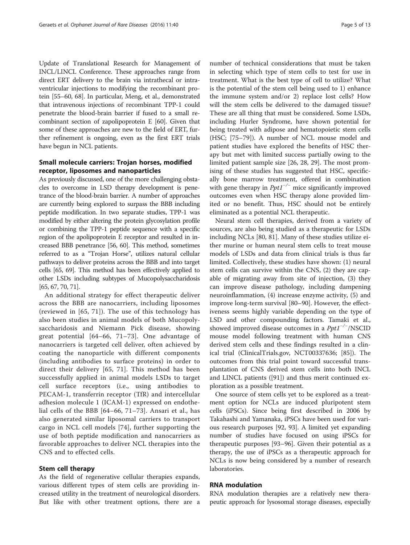Update of Translational Research for Management of INCL/LINCL Conference. These approaches range from direct ERT delivery to the brain via intrathecal or intraventricular injections to modifying the recombinant protein [\[55](#page-9-0)–[60](#page-9-0), [68](#page-9-0)]. In particular, Meng, et al., demonstrated that intravenous injections of recombinant TPP-1 could penetrate the blood-brain barrier if fused to a small recombinant section of zapolipoprotein E [\[60\]](#page-9-0). Given that some of these approaches are new to the field of ERT, further refinement is ongoing, even as the first ERT trials have begun in NCL patients.

# Small molecule carriers: Trojan horses, modified receptor, liposomes and nanoparticles

As previously discussed, one of the more challenging obstacles to overcome in LSD therapy development is penetrance of the blood-brain barrier. A number of approaches are currently being explored to surpass the BBB including peptide modification. In two separate studies, TPP-1 was modified by either altering the protein glycosylation profile or combining the TPP-1 peptide sequence with a specific region of the apolipoprotein E receptor and resulted in increased BBB penetrance [\[56, 60](#page-9-0)]. This method, sometimes referred to as a "Trojan Horse", utilizes natural cellular pathways to deliver proteins across the BBB and into target cells [\[65, 69\]](#page-9-0). This method has been effectively applied to other LSDs including subtypes of Mucopolysaccharidosis [[65](#page-9-0), [67](#page-9-0), [70](#page-9-0), [71](#page-9-0)].

An additional strategy for effect therapeutic deliver across the BBB are nanocarriers, including liposomes (reviewed in [[65](#page-9-0), [71](#page-9-0)]). The use of this technology has also been studies in animal models of both Mucopolysaccharidosis and Niemann Pick disease, showing great potential [[64](#page-9-0)–[66, 71](#page-9-0)–[73](#page-9-0)]. One advantage of nanocarriers is targeted cell deliver, often achieved by coating the nanoparticle with different components (including antibodies to surface proteins) in order to direct their delivery [[65, 71](#page-9-0)]. This method has been successfully applied in animal models LSDs to target cell surface receptors (i.e., using antibodies to PECAM-1, transferrin receptor (TfR) and intercellular adhesion molecule 1 (ICAM-1) expressed on endothelial cells of the BBB [\[64](#page-9-0)–[66](#page-9-0), [71](#page-9-0)–[73\]](#page-9-0). Ansari et al., has also generated similar liposomal carriers to transport cargo in NCL cell models [[74](#page-9-0)], further supporting the use of both peptide modification and nanocarriers as favorable approaches to deliver NCL therapies into the CNS and to effected cells.

## Stem cell therapy

As the field of regenerative cellular therapies expands, various different types of stem cells are providing increased utility in the treatment of neurological disorders. But like with other treatment options, there are a

number of technical considerations that must be taken in selecting which type of stem cells to test for use in treatment. What is the best type of cell to utilize? What is the potential of the stem cell being used to 1) enhance the immune system and/or 2) replace lost cells? How will the stem cells be delivered to the damaged tissue? These are all thing that must be considered. Some LSDs, including Hurler Syndrome, have shown potential for being treated with adipose and hematopoietic stem cells (HSC; [\[75](#page-9-0)–[79\]](#page-9-0)). A number of NCL mouse model and patient studies have explored the benefits of HSC therapy but met with limited success partially owing to the limited patient sample size [\[26](#page-8-0), [28](#page-8-0), [29](#page-9-0)]. The most promising of these studies has suggested that HSC, specifically bone marrow treatment, offered in combination with gene therapy in  $Ppt1^{-/-}$  mice significantly improved outcomes even when HSC therapy alone provided limited or no benefit. Thus, HSC should not be entirely eliminated as a potential NCL therapeutic.

Neural stem cell therapies, derived from a variety of sources, are also being studied as a therapeutic for LSDs including NCLs [\[80](#page-10-0), [81](#page-10-0)]. Many of these studies utilize either murine or human neural stem cells to treat mouse models of LSDs and data from clinical trials is thus far limited. Collectively, these studies have shown: (1) neural stem cells can survive within the CNS, (2) they are capable of migrating away from site of injection, (3) they can improve disease pathology, including dampening neuroinflammation, (4) increase enzyme activity, (5) and improve long-term survival [[80](#page-10-0)–[90](#page-10-0)]. However, the effectiveness seems highly variable depending on the type of LSD and other compounding factors. Tamaki et al., showed improved disease outcomes in a Ppt1−/<sup>−</sup> /NSCID mouse model following treatment with human CNS derived stem cells and these findings resulted in a clinical trial (ClinicalTrials.gov, NCT00337636; [[85](#page-10-0)]). The outcomes from this trial point toward successful transplantation of CNS derived stem cells into both INCL and LINCL patients ([[91\]](#page-10-0)) and thus merit continued exploration as a possible treatment.

One source of stem cells yet to be explored as a treatment option for NCLs are induced pluripotent stem cells (iPSCs). Since being first described in 2006 by Takahashi and Yamanaka, iPSCs have been used for various research purposes [[92](#page-10-0), [93\]](#page-10-0). A limited yet expanding number of studies have focused on using iPSCs for therapeutic purposes [[93](#page-10-0)–[96](#page-10-0)]. Given their potential as a therapy, the use of iPSCs as a therapeutic approach for NCLs is now being considered by a number of research laboratories.

## RNA modulation

RNA modulation therapies are a relatively new therapeutic approach for lysosomal storage diseases, especially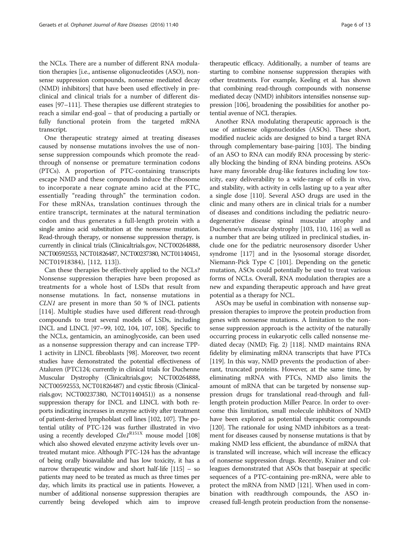the NCLs. There are a number of different RNA modulation therapies [i.e., antisense oligonucleotides (ASO), nonsense suppression compounds, nonsense mediated decay (NMD) inhibitors] that have been used effectively in preclinical and clinical trials for a number of different diseases [\[97](#page-10-0)–[111](#page-10-0)]. These therapies use different strategies to reach a similar end-goal – that of producing a partially or fully functional protein from the targeted mRNA transcript.

One therapeutic strategy aimed at treating diseases caused by nonsense mutations involves the use of nonsense suppression compounds which promote the readthrough of nonsense or premature termination codons (PTCs). A proportion of PTC-containing transcripts escape NMD and these compounds induce the ribosome to incorporate a near cognate amino acid at the PTC, essentially "reading through" the termination codon. For these mRNAs, translation continues through the entire transcript, terminates at the natural termination codon and thus generates a full-length protein with a single amino acid substitution at the nonsense mutation. Read-through therapy, or nonsense suppression therapy, is currently in clinical trials (Clinicaltrials.gov, NCT00264888, NCT00592553, NCT01826487, NCT00237380, NCT01140451, NCT01918384), [[112, 113\]](#page-10-0)).

Can these therapies be effectively applied to the NCLs? Nonsense suppression therapies have been proposed as treatments for a whole host of LSDs that result from nonsense mutations. In fact, nonsense mutations in CLN1 are present in more than 50 % of INCL patients [[114\]](#page-10-0). Multiple studies have used different read-through compounds to treat several models of LSDs, including INCL and LINCL [\[97](#page-10-0)–[99](#page-10-0), [102](#page-10-0), [104](#page-10-0), [107](#page-10-0), [108\]](#page-10-0). Specific to the NCLs, gentamicin, an aminoglycoside, can been used as a nonsense suppression therapy and can increase TPP-1 activity in LINCL fibroblasts [[98](#page-10-0)]. Moreover, two recent studies have demonstrated the potential effectiveness of Ataluren (PTC124; currently in clinical trials for Duchenne Muscular Dystrophy (Clinicaltrials.gov; NCT00264888, NCT00592553, NCT01826487) and cystic fibrosis (Clinicalrials.gov; NCT00237380, NCT01140451)) as a nonsense suppression therapy for INCL and LINCL with both reports indicating increases in enzyme activity after treatment of patient-derived lymphoblast cell lines [\[102](#page-10-0), [107](#page-10-0)]. The potential utility of PTC-124 was further illustrated in vivo using a recently developed  $Cln1^{R151X}$  mouse model [\[108](#page-10-0)] which also showed elevated enzyme activity levels over untreated mutant mice. Although PTC-124 has the advantage of being orally bioavailable and has low toxicity, it has a narrow therapeutic window and short half-life [\[115](#page-10-0)] – so patients may need to be treated as much as three times per day, which limits its practical use in patients. However, a number of additional nonsense suppression therapies are currently being developed which aim to improve therapeutic efficacy. Additionally, a number of teams are starting to combine nonsense suppression therapies with other treatments. For example, Keeling et al. has shown that combining read-through compounds with nonsense mediated decay (NMD) inhibitors intensifies nonsense suppression [[106\]](#page-10-0), broadening the possibilities for another potential avenue of NCL therapies.

Another RNA modulating therapeutic approach is the use of antisense oligonucleotides (ASOs). These short, modified nucleic acids are designed to bind a target RNA through complementary base-pairing [\[103](#page-10-0)]. The binding of an ASO to RNA can modify RNA processing by sterically blocking the binding of RNA binding proteins. ASOs have many favorable drug-like features including low toxicity, easy deliverability to a wide-range of cells in vivo, and stability, with activity in cells lasting up to a year after a single dose [[110](#page-10-0)]. Several ASO drugs are used in the clinic and many others are in clinical trials for a number of diseases and conditions including the pediatric neurodegenerative disease spinal muscular atrophy and Duchenne's muscular dystrophy [[103](#page-10-0), [110](#page-10-0), [116\]](#page-10-0) as well as a number that are being utilized in preclinical studies, include one for the pediatric neurosensory disorder Usher syndrome [[117](#page-10-0)] and in the lysosomal storage disorder, Niemann-Pick Type C [[101](#page-10-0)]. Depending on the genetic mutation, ASOs could potentially be used to treat various forms of NCLs. Overall, RNA modulation therapies are a new and expanding therapeutic approach and have great potential as a therapy for NCL.

ASOs may be useful in combination with nonsense suppression therapies to improve the protein production from genes with nonsense mutations. A limitation to the nonsense suppression approach is the activity of the naturally occurring process in eukaryotic cells called nonsense mediated decay (NMD; Fig. [2\)](#page-6-0) [[118](#page-10-0)]. NMD maintains RNA fidelity by eliminating mRNA transcripts that have PTCs [[119](#page-10-0)]. In this way, NMD prevents the production of aberrant, truncated proteins. However, at the same time, by eliminating mRNA with PTCs, NMD also limits the amount of mRNA that can be targeted by nonsense suppression drugs for translational read-through and fulllength protein production Miller Pearce. In order to overcome this limitation, small molecule inhibitors of NMD have been explored as potential therapeutic compounds [[120](#page-10-0)]. The rationale for using NMD inhibitors as a treatment for diseases caused by nonsense mutations is that by making NMD less efficient, the abundance of mRNA that is translated will increase, which will increase the efficacy of nonsense suppression drugs. Recently, Krainer and colleagues demonstrated that ASOs that basepair at specific sequences of a PTC-containing pre-mRNA, were able to protect the mRNA from NMD [\[121\]](#page-10-0). When used in combination with readthrough compounds, the ASO increased full-length protein production from the nonsense-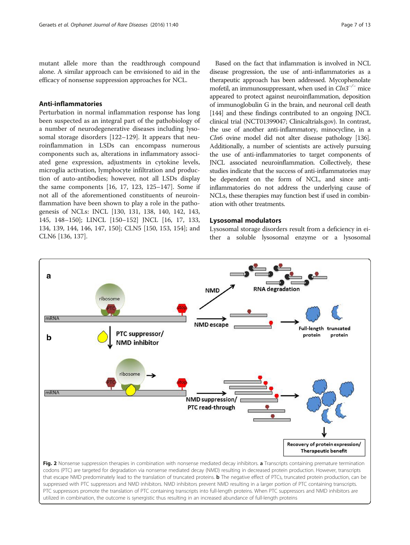<span id="page-6-0"></span>mutant allele more than the readthrough compound alone. A similar approach can be envisioned to aid in the efficacy of nonsense suppression approaches for NCL.

## Anti-inflammatories

Perturbation in normal inflammation response has long been suspected as an integral part of the pathobiology of a number of neurodegenerative diseases including lysosomal storage disorders [\[122](#page-10-0)–[129\]](#page-10-0). It appears that neuroinflammation in LSDs can encompass numerous components such as, alterations in inflammatory associated gene expression, adjustments in cytokine levels, microglia activation, lymphocyte infiltration and production of auto-antibodies; however, not all LSDs display the same components [[16, 17](#page-8-0), [123, 125](#page-10-0)–[147\]](#page-11-0). Some if not all of the aforementioned constituents of neuroinflammation have been shown to play a role in the pathogenesis of NCLs: INCL [\[130, 131,](#page-10-0) [138](#page-11-0), [140](#page-11-0), [142, 143](#page-11-0), [145](#page-11-0), [148](#page-11-0)–[150\]](#page-11-0); LINCL [[150](#page-11-0)–[152](#page-11-0)] JNCL [[16](#page-8-0), [17,](#page-8-0) [133](#page-10-0), [134](#page-11-0), [139, 144, 146, 147](#page-11-0), [150](#page-11-0)]; CLN5 [[150, 153, 154\]](#page-11-0); and CLN6 [\[136](#page-11-0), [137\]](#page-11-0).

Based on the fact that inflammation is involved in NCL disease progression, the use of anti-inflammatories as a therapeutic approach has been addressed. Mycophenolate mofetil, an immunosuppressant, when used in  $Cln3^{-/-}$  mice appeared to protect against neuroinflammation, deposition of immunoglobulin G in the brain, and neuronal cell death [[144\]](#page-11-0) and these findings contributed to an ongoing JNCL clinical trial (NCT01399047; Clinicaltrials.gov). In contrast, the use of another anti-inflammatory, minocycline, in a Cln6 ovine model did not alter disease pathology [\[136](#page-11-0)]. Additionally, a number of scientists are actively pursuing the use of anti-inflammatories to target components of JNCL associated neuroinflammation. Collectively, these studies indicate that the success of anti-inflammatories may be dependent on the form of NCL, and since antiinflammatories do not address the underlying cause of NCLs, these therapies may function best if used in combination with other treatments.

#### Lysosomal modulators

Lysosomal storage disorders result from a deficiency in either a soluble lysosomal enzyme or a lysosomal



codons (PTC) are targeted for degradation via nonsense mediated decay (NMD) resulting in decreased protein production. However, transcripts that escape NMD predominately lead to the translation of truncated proteins. **b** The negative effect of PTCs, truncated protein production, can be suppressed with PTC suppressors and NMD inhibitors. NMD inhibitors prevent NMD resulting in a larger portion of PTC containing transcripts. PTC suppressors promote the translation of PTC containing transcripts into full-length proteins. When PTC suppressors and NMD inhibitors are utilized in combination, the outcome is synergistic thus resulting in an increased abundance of full-length proteins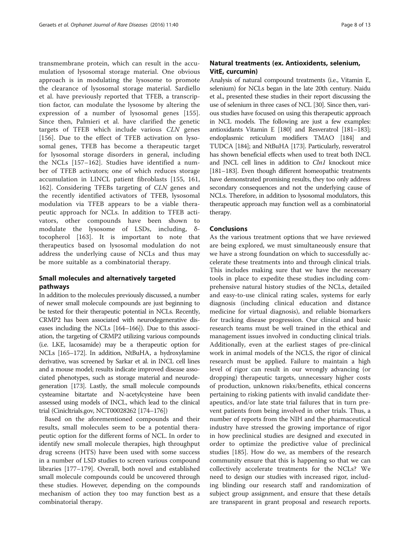transmembrane protein, which can result in the accumulation of lysosomal storage material. One obvious approach is in modulating the lysosome to promote the clearance of lysosomal storage material. Sardiello et al. have previously reported that TFEB, a transcription factor, can modulate the lysosome by altering the expression of a number of lysosomal genes [\[155](#page-11-0)]. Since then, Palmieri et al. have clarified the genetic targets of TFEB which include various CLN genes [[156\]](#page-11-0). Due to the effect of TFEB activation on lysosomal genes, TFEB has become a therapeutic target for lysosomal storage disorders in general, including the NCLs [[157](#page-11-0)–[162\]](#page-11-0). Studies have identified a number of TFEB activators; one of which reduces storage accumulation in LINCL patient fibroblasts [[155](#page-11-0), [161](#page-11-0), [162\]](#page-11-0). Considering TFEBs targeting of CLN genes and the recently identified activators of TFEB, lysosomal modulation via TFEB appears to be a viable therapeutic approach for NCLs. In addition to TFEB activators, other compounds have been shown to modulate the lysosome of LSDs, including, δtocopherol [[163](#page-11-0)]. It is important to note that therapeutics based on lysosomal modulation do not address the underlying cause of NCLs and thus may be more suitable as a combinatorial therapy.

# Small molecules and alternatively targeted pathways

In addition to the molecules previously discussed, a number of newer small molecule compounds are just beginning to be tested for their therapeutic potential in NCLs. Recently, CRMP2 has been associated with neurodegenerative diseases including the NCLs [\[164](#page-11-0)–[166](#page-11-0)]). Due to this association, the targeting of CRMP2 utilizing various compounds (i.e. LKE, lacosamide) may be a therapeutic option for NCLs [\[165](#page-11-0)–[172](#page-11-0)]. In addition, NtBuHA, a hydroxylamine derivative, was screened by Sarkar et al. in INCL cell lines and a mouse model; results indicate improved disease associated phenotypes, such as storage material and neurodegeneration [\[173](#page-11-0)]. Lastly, the small molecule compounds cysteamine bitartate and N-acetylcysteine have been assessed using models of INCL, which lead to the clinical trial (Cinicltrials.gov, NCT00028262 [\[174](#page-11-0)–[176](#page-11-0)])

Based on the aforementioned compounds and their results, small molecules seem to be a potential therapeutic option for the different forms of NCL. In order to identify new small molecule therapies, high throughput drug screens (HTS) have been used with some success in a number of LSD studies to screen various compound libraries [[177](#page-11-0)–[179](#page-11-0)]. Overall, both novel and established small molecule compounds could be uncovered through these studies. However, depending on the compounds mechanism of action they too may function best as a combinatorial therapy.

# Natural treatments (ex. Antioxidents, selenium, VitE, curcumin)

Analysis of natural compound treatments (i.e., Vitamin E, selenium) for NCLs began in the late 20th century. Naidu et al., presented these studies in their report discussing the use of selenium in three cases of NCL [\[30\]](#page-9-0). Since then, various studies have focused on using this therapeutic approach in NCL models. The following are just a few examples: antioxidants Vitamin E [[180\]](#page-11-0) and Resveratrol [\[181](#page-11-0)–[183](#page-11-0)]; endoplasmic reticulum modifiers TMAO [[184\]](#page-12-0) and TUDCA [[184\]](#page-12-0); and NtBuHA [[173\]](#page-11-0). Particularly, resveratrol has shown beneficial effects when used to treat both INCL and JNCL cell lines in addition to Cln1 knockout mice [[181](#page-11-0)–[183\]](#page-11-0). Even though different homeopathic treatments have demonstrated promising results, they too only address secondary consequences and not the underlying cause of NCLs. Therefore, in addition to lysosomal modulators, this therapeutic approach may function well as a combinatorial therapy.

## **Conclusions**

As the various treatment options that we have reviewed are being explored, we must simultaneously ensure that we have a strong foundation on which to successfully accelerate these treatments into and through clinical trials. This includes making sure that we have the necessary tools in place to expedite these studies including comprehensive natural history studies of the NCLs, detailed and easy-to-use clinical rating scales, systems for early diagnosis (including clinical education and distance medicine for virtual diagnosis), and reliable biomarkers for tracking disease progression. Our clinical and basic research teams must be well trained in the ethical and management issues involved in conducting clinical trials. Additionally, even at the earliest stages of pre-clinical work in animal models of the NCLS, the rigor of clinical research must be applied. Failure to maintain a high level of rigor can result in our wrongly advancing (or dropping) therapeutic targets, unnecessary higher costs of production, unknown risks/benefits, ethical concerns pertaining to risking patients with invalid candidate therapeutics, and/or late state trial failures that in turn prevent patients from being involved in other trials. Thus, a number of reports from the NIH and the pharmaceutical industry have stressed the growing importance of rigor in how preclinical studies are designed and executed in order to optimize the predictive value of preclinical studies [\[185](#page-12-0)]. How do we, as members of the research community ensure that this is happening so that we can collectively accelerate treatments for the NCLs? We need to design our studies with increased rigor, including blinding our research staff and randomization of subject group assignment, and ensure that these details are transparent in grant proposal and research reports.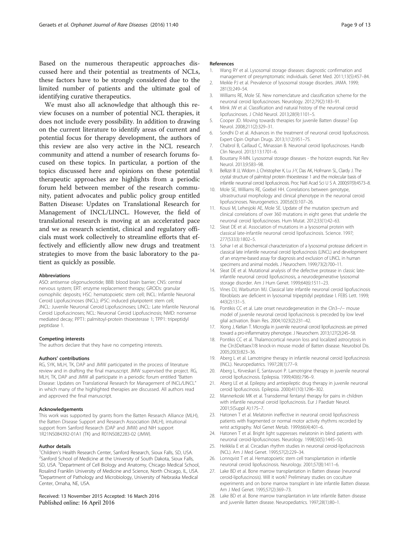<span id="page-8-0"></span>Based on the numerous therapeutic approaches discussed here and their potential as treatments of NCLs, these factors have to be strongly considered due to the limited number of patients and the ultimate goal of identifying curative therapeutics.

We must also all acknowledge that although this review focuses on a number of potential NCL therapies, it does not include every possibility. In addition to drawing on the current literature to identify areas of current and potential focus for therapy development, the authors of this review are also very active in the NCL research community and attend a number of research forums focused on these topics. In particular, a portion of the topics discussed here and opinions on these potential therapeutic approaches are highlights from a periodic forum held between member of the research community, patient advocates and public policy group entitled Batten Disease: Updates on Translational Research for Management of INCL/LINCL. However, the field of translational research is moving at an accelerated pace and we as research scientist, clinical and regulatory officials must work collectively to streamline efforts that effectively and efficiently allow new drugs and treatment strategies to move from the basic laboratory to the patient as quickly as possible.

#### Abbreviations

ASO: antisense oligonucleotide; BBB: blood brain barrier; CNS: central nervous system; ERT: enzyme replacement therapy; GRODs: granular osmophilic deposits; HSC: hematopoietic stem cell; INCL: Infantile Neuronal Ceroid Lipofuscinoses (INCL); iPSC: induced pluripotent stem cell; JNCL: Juvenile Neuronal Ceroid Lipofuscinoses; LINCL: Late Infantile Neuronal Ceroid Lipofuscinoses; NCL: Neuronal Ceroid Lipofuscinosis; NMD: nonsense mediated decay; PPT1: palmitoyl-protein thioesterase 1; TPP1: tripeptidyl peptidase 1.

#### Competing interests

The authors declare that they have no competing interests.

#### Authors' contributions

RG, SYK, MLH, TK, DAP and JMW participated in the process of literature review and in drafting the final manuscript. JMW supervised the project. RG, MLH, TK, DAP and JMW all participate in a periodic forum entitled "Batten Disease: Updates on Translational Research for Management of INCL/LINCL" in which many of the highlighted therapies are discussed. All authors read and approved the final manuscript.

#### Acknowledgements

This work was supported by grants from the Batten Research Alliance (MLH), the Batten Disease Support and Research Association (MLH), intuitional support from Sanford Research (DAP and JMW) and NIH support 1R21NS084392-01A1 (TK) and R01NS082283-02 (JMW).

#### Author details

<sup>1</sup>Children's Health Research Center, Sanford Research, Sioux Falls, SD, USA.<br><sup>2</sup>Sanford School of Medicine at the University of South Daketa, Sioux Falls  $2$ Sanford School of Medicine at the University of South Dakota, Sioux Falls, SD, USA. <sup>3</sup>Department of Cell Biology and Anatomy, Chicago Medical School, Rosalind Franklin University of Medicine and Science, North Chicago, IL, USA. 4 Department of Pathology and Microbiology, University of Nebraska Medical Center, Omaha, NE, USA.

#### Received: 13 November 2015 Accepted: 16 March 2016 Published online: 16 April 2016

#### References

- 1. Wang RY et al. Lysosomal storage diseases: diagnostic confirmation and management of presymptomatic individuals. Genet Med. 2011;13(5):457–84.
- 2. Meikle PJ et al. Prevalence of lysosomal storage disorders. JAMA. 1999; 281(3):249–54.
- 3. Williams RE, Mole SE. New nomenclature and classification scheme for the neuronal ceroid lipofuscinoses. Neurology. 2012;79(2):183–91.
- 4. Mink JW et al. Classification and natural history of the neuronal ceroid lipofuscinoses. J Child Neurol. 2013;28(9):1101–5.
- 5. Cooper JD. Moving towards therapies for juvenile Batten disease? Exp Neurol. 2008;211(2):329–31.
- 6. Sondhi D et al. Advances in the treatment of neuronal ceroid lipofuscinosis. Expert Opin Orphan Drugs. 2013;1(12):951–75.
- 7. Chabrol B, Caillaud C, Minassian B. Neuronal ceroid lipofuscinoses. Handb Clin Neurol. 2013;113:1701–6.
- 8. Boustany R-MN. Lysosomal storage diseases the horizon exapnds. Nat Rev Neurol. 2013;9:583–98.
- 9. Bellizzi III JJ, Widom J, Christopher K, Lu J-Y, Das AK, Hofmann SL, Clardy J. The crystal structure of palmitoyl protein thioesterase 1 and the molecular basis of infantile neuronal ceroid lipofuscinosis. Proc Natl Acad Sci U S A. 2000;97(9):4573–8.
- 10. Mole SE, Williams RE, Goebel HH. Correlations between genotype, ultrastructural morphology and clinical phenotype in the neuronal ceroid lipofuscinoses. Neurogenetics. 2005;6(3):107–26.
- 11. Kousi M, Lehesjoki AE, Mole SE. Update of the mutation spectrum and clinical correlations of over 360 mutations in eight genes that underlie the neuronal ceroid lipofuscinoses. Hum Mutat. 2012;33(1):42–63.
- 12. Sleat DE et al. Association of mutations in a lysosomal protein with classical late-infantile neuronal ceroid lipofuscinosis. Science. 1997; 277(5333):1802–5.
- 13. Sohar I et al. Biochemical characterization of a lysosomal protease deficient in classical late infantile neuronal ceroid lipofuscinosis (LINCL) and development of an enzyme-based assay for diagnosis and exclusion of LINCL in human specimens and animal models. J Neurochem. 1999;73(2):700–11.
- 14. Sleat DE et al. Mutational analysis of the defective protease in classic lateinfantile neuronal ceroid lipofuscinosis, a neurodegenerative lysosomal storage disorder. Am J Hum Genet. 1999;64(6):1511–23.
- 15. Vines DJ, Warburton MJ. Classical late infantile neuronal ceroid lipofuscinosis fibroblasts are deficient in lysosomal tripeptidyl peptidase I. FEBS Lett. 1999; 443(2):131–5.
- 16. Pontikis CC et al. Late onset neurodegeneration in the Cln3−/− mouse model of juvenile neuronal ceroid lipofuscinosis is preceded by low level glial activation. Brain Res. 2004;1023(2):231–42.
- 17. Xiong J, Kielian T. Microglia in juvenile neuronal ceroid lipofuscinosis are primed toward a pro-inflammatory phenotype. J Neurochem. 2013;127(2):245–58.
- 18. Pontikis CC et al. Thalamocortical neuron loss and localized astrocytosis in the Cln3Deltaex7/8 knock-in mouse model of Batten disease. Neurobiol Dis. 2005;20(3):823–36.
- 19. Aberg L et al. Lamotrigine therapy in infantile neuronal ceroid lipofuscinosis (INCL). Neuropediatrics. 1997;28(1):77–9.
- 20. Aberg L, Kirveskari E, Santavuori P. Lamotrigine therapy in juvenile neuronal ceroid lipofuscinosis. Epilepsia. 1999;40(6):796–9.
- 21. Aberg LE et al. Epilepsy and antiepileptic drug therapy in juvenile neuronal ceroid lipofuscinosis. Epilepsia. 2000;41(10):1296–302.
- 22. Mannerkoski MK et al. Transdermal fentanyl therapy for pains in children with infantile neuronal ceroid lipofuscinosis. Eur J Paediatr Neurol. 2001;5(Suppl A):175–7.
- 23. Hatonen T et al. Melatonin ineffective in neuronal ceroid lipofuscinosis patients with fragmented or normal motor activity rhythms recorded by wrist actigraphy. Mol Genet Metab. 1999;66(4):401–6.
- 24. Hatonen T et al. Bright light suppresses melatonin in blind patients with neuronal ceroid-lipofuscinoses. Neurology. 1998;50(5):1445–50.
- 25. Heikkila E et al. Circadian rhythm studies in neuronal ceroid-lipofuscinosis (NCL). Am J Med Genet. 1995;57(2):229–34.
- 26. Lonnqvist T et al. Hematopoietic stem cell transplantation in infantile neuronal ceroid lipofuscinosis. Neurology. 2001;57(8):1411–6.
- 27. Lake BD et al. Bone marrow transplantation in Batten disease (neuronal ceroid-lipofuscinosis). Will it work? Preliminary studies on coculture experiments and on bone marrow transplant in late infantile Batten disease. Am J Med Genet. 1995;57(2):369–73.
- 28. Lake BD et al. Bone marrow transplantation in late infantile Batten disease and juvenile Batten disease. Neuropediatrics. 1997;28(1):80–1.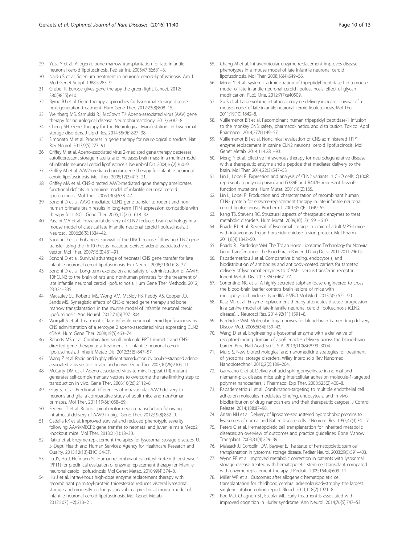- <span id="page-9-0"></span>29. Yuza Y et al. Allogenic bone marrow transplantation for late-infantile neuronal ceroid lipofuscinosis. Pediatr Int. 2005;47(6):681–3.
- 30. Naidu S et al. Selenium treatment in neuronal ceroid-lipofuscinosis. Am J Med Genet Suppl. 1988;5:283–9.
- 31. Gruber K. Europe gives gene therapy the green light. Lancet. 2012; 380(9855):e10.
- 32. Byrne BJ et al. Gene therapy approaches for lysosomal storage disease: next-generation treatment. Hum Gene Ther. 2012;23(8):808–15.
- 33. Weinberg MS, Samulski RJ, McCown TJ. Adeno-associated virus (AAV) gene therapy for neurological disease. Neuropharmacology. 2013;69:82–8.
- 34. Cheng SH. Gene Therapy for the Neurological Manifestations in Lysosomal storage disorders. J Lipid Res. 2014;55(9):1827–38.
- 35. Simonato M et al. Progress in gene therapy for neurological disorders. Nat Rev Neurol. 2013;9(5):277–91.
- 36. Griffey M et al. Adeno-associated virus 2-mediated gene therapy decreases autofluorescent storage material and increases brain mass in a murine model of infantile neuronal ceroid lipofuscinosis. Neurobiol Dis. 2004;16(2):360–9.
- 37. Griffey M et al. AAV2-mediated ocular gene therapy for infantile neuronal ceroid lipofuscinosis. Mol Ther. 2005;12(3):413–21.
- 38. Griffey MA et al. CNS-directed AAV2-mediated gene therapy ameliorates functional deficits in a murine model of infantile neuronal ceroid lipofuscinosis. Mol Ther. 2006;13(3):538–47.
- 39. Sondhi D et al. AAV2-mediated CLN2 gene transfer to rodent and nonhuman primate brain results in long-term TPP-I expression compatible with therapy for LINCL. Gene Ther. 2005;12(22):1618–32.
- 40. Passini MA et al. Intracranial delivery of CLN2 reduces brain pathology in a mouse model of classical late infantile neuronal ceroid lipofuscinosis. J Neurosci. 2006;26(5):1334–42.
- 41. Sondhi D et al. Enhanced survival of the LINCL mouse following CLN2 gene transfer using the rh.10 rhesus macaque-derived adeno-associated virus vector. Mol Ther. 2007;15(3):481–91.
- 42. Sondhi D et al. Survival advantage of neonatal CNS gene transfer for late infantile neuronal ceroid lipofuscinosis. Exp Neurol. 2008;213(1):18–27.
- 43. Sondhi D et al. Long-term expression and safety of administration of AAVrh. 10hCLN2 to the brain of rats and nonhuman primates for the treatment of late infantile neuronal ceroid lipofuscinosis. Hum Gene Ther Methods. 2012; 23:324–335.
- 44. Macauley SL, Roberts MS, Wong AM, McSloy FB, Reddy AS, Cooper JD, Sands MS. Synergistic effects of CNS-directed gene therapy and bone marrow transplantation in the murine model of infantile neuronal ceroid lipofuscinosis. Ann Neurol. 2012;71(6):797–804.
- 45. Worgall S et al. Treatment of late infantile neuronal ceroid lipofuscinosis by CNS administration of a serotype 2 adeno-associated virus expressing CLN2 cDNA. Hum Gene Ther. 2008;19(5):463–74.
- 46. Roberts MS et al. Combination small molecule PPT1 mimetic and CNSdirected gene therapy as a treatment for infantile neuronal ceroid lipofuscinosis. J Inherit Metab Dis. 2012;35(5):847–57.
- 47. Wang Z et al. Rapid and highly efficient transduction by double-stranded adenoassociated virus vectors in vitro and in vivo. Gene Ther. 2003;10(26):2105–11.
- 48. McCarty DM et al. Adeno-associated virus terminal repeat (TR) mutant generates self-complementary vectors to overcome the rate-limiting step to transduction in vivo. Gene Ther. 2003;10(26):2112–8.
- 49. Gray SJ et al. Preclinical differences of intravascular AAV9 delivery to neurons and glia: a comparative study of adult mice and nonhuman primates. Mol Ther. 2011;19(6):1058–69.
- 50. Federici T et al. Robust spinal motor neuron transduction following intrathecal delivery of AAV9 in pigs. Gene Ther. 2012;19(8):852–9.
- 51. Gadalla KK et al. Improved survival and reduced phenotypic severity following AAV9/MECP2 gene transfer to neonatal and juvenile male Mecp2 knockout mice. Mol Ther. 2013;21(1):18–30.
- 52. Ratko et al. Enzyme-replacement therapies for lysosomal storage diseases. U. S. Dept. Health and Human Services: Agency for Healthcare Research and Quality. 2013;12(13)-EHC154-EF.
- 53. Lu JY, Hu J, Hofmann SL. Human recombinant palmitoyl-protein thioesterase-1 (PPT1) for preclinical evaluation of enzyme replacement therapy for infantile neuronal ceroid lipofuscinosis. Mol Genet Metab. 2010;99(4):374–8.
- 54. Hu J et al. Intravenous high-dose enzyme replacement therapy with recombinant palmitoyl-protein thioesterase reduces visceral lysosomal storage and modestly prolongs survival in a preclinical mouse model of infantile neuronal ceroid lipofuscinosis. Mol Genet Metab. 2012;107(1–2):213–21.
- 55. Chang M et al. Intraventricular enzyme replacement improves disease phenotypes in a mouse model of late infantile neuronal ceroid lipofuscinosis. Mol Ther. 2008;16(4):649–56.
- 56. Meng Y et al. Systemic administration of tripeptidyl peptidase I in a mouse model of late infantile neuronal ceroid lipofuscinosis: effect of glycan modification. PLoS One. 2012;7(7):e40509.
- 57. Xu S et al. Large-volume intrathecal enzyme delivery increases survival of a mouse model of late infantile neuronal ceroid lipofuscinosis. Mol Ther. 2011;19(10):1842–8.
- 58. Vuillemenot BR et al. Recombinant human tripeptidyl peptidase-1 infusion to the monkey CNS: safety, pharmacokinetics, and distribution. Toxicol Appl Pharmacol. 2014;277(1):49–57.
- 59. Vuillemenot BR et al. Nonclinical evaluation of CNS-administered TPP1 enzyme replacement in canine CLN2 neuronal ceroid lipofuscinosis. Mol Genet Metab. 2014;114:281–93.
- 60. Meng Y et al. Effective intravenous therapy for neurodegenerative disease with a therapeutic enzyme and a peptide that mediates delivery to the brain. Mol Ther. 2014;22(3):547–53.
- 61. Lin L, Lobel P. Expression and analysis of CLN2 variants in CHO cells: Q100R represents a polymorphism, and G389E and R447H represent loss-offunction mutations. Hum Mutat. 2001;18(2):165.
- 62. Lin L, Lobel P. Production and characterization of recombinant human CLN2 protein for enzyme-replacement therapy in late infantile neuronal ceroid lipofuscinosis. Biochem J. 2001;357(Pt 1):49–55.
- 63. Kang TS, Stevens RC. Structural aspects of therapeutic enzymes to treat metabolic disorders. Hum Mutat. 2009;30(12):1591–610.
- 64. Boado RJ et al. Reversal of lysosomal storage in brain of adult MPS-I mice with intravenous Trojan horse-iduronidase fusion protein. Mol Pharm. 2011;8(4):1342–50.
- 65. Boado RJ, Pardridge WM. The Trojan Horse Liposome Technology for Nonviral Gene Transfer across the Blood-brain Barrier. J Drug Deliv. 2011;2011:296151.
- 66. Papademetriou J et al. Comparative binding, endocytosis, and biodistribution of antibodies and antibody-coated carriers for targeted delivery of lysosomal enzymes to ICAM-1 versus transferrin receptor. J Inherit Metab Dis. 2013;36(3):467–77.
- 67. Sorrentino NC et al. A highly secreted sulphamidase engineered to cross the blood-brain barrier corrects brain lesions of mice with mucopolysaccharidoses type IIIA. EMBO Mol Med. 2013;5(5):675–90.
- 68. Katz ML et al. Enzyme replacement therapy attenuates disease progression in a canine model of late-infantile neuronal ceroid lipofuscinosis (CLN2 disease). J Neurosci Res. 2014;92(11):1591–8.
- 69. Pardridge WM. Molecular Trojan horses for blood-brain barrier drug delivery. Discov Med. 2006;6(34):139–43.
- 70. Wang D et al. Engineering a lysosomal enzyme with a derivative of receptor-binding domain of apoE enables delivery across the blood-brain barrier. Proc Natl Acad Sci U S A. 2013;110(8):2999–3004.
- 71. Muro S. New biotechnological and nanomedicine strategies for treatment of lysosomal storage disorders. Wiley Interdiscip Rev Nanomed Nanobiotechnol. 2010;2(2):189–204.
- 72. Garnacho C et al. Delivery of acid sphingomyelinase in normal and niemann-pick disease mice using intercellular adhesion molecule-1-targeted polymer nanocarriers. J Pharmacol Exp Ther. 2008;325(2):400–8.
- 73. Papademetriou I et al. Combination-targeting to multiple endothelial cell adhesion molecules modulates binding, endocytosis, and in vivo biodistribution of drug nanocarriers and their therapeutic cargoes. J Control Release. 2014;188:87–98.
- 74. Ansari NH et al. Delivery of liposome-sequestered hydrophobic proteins to lysosomes of normal and Batten disease cells. J Neurosci Res. 1997;47(3):341–7.
- 75. Peters C et al. Hematopoietic cell transplantation for inherited metabolic diseases: an overview of outcomes and practice guidelines. Bone Marrow Transplant. 2003;31(4):229–39.
- 76. Malatack JJ, Consolini DM, Bayever E. The status of hematopoietic stem cell transplantation in lysosomal storage disease. Pediatr Neurol. 2003;29(5):391–403.
- 77. Wynn RF et al. Improved metabolic correction in patients with lysosomal storage disease treated with hematopoietic stem cell transplant compared with enzyme replacement therapy. J Pediatr. 2009;154(4):609–11.
- 78. Miller WP et al. Outcomes after allogeneic hematopoietic cell transplantation for childhood cerebral adrenoleukodystrophy: the largest single-institution cohort report. Blood. 2011;118(7):1971–8.
- 79. Poe MD, Chagnon SL, Escolar ML. Early treatment is associated with improved cognition in Hurler syndrome. Ann Neurol. 2014;76(5):747–53.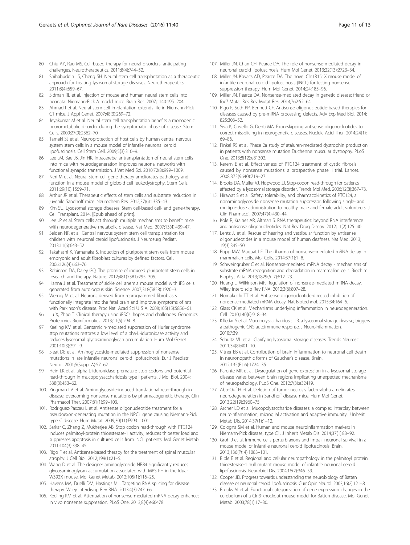- <span id="page-10-0"></span>80. Chiu AY, Rao MS. Cell-based therapy for neural disorders–anticipating challenges. Neurotherapeutics. 2011;8(4):744–52.
- 81. Shihabuddin LS, Cheng SH. Neural stem cell transplantation as a therapeutic approach for treating lysosomal storage diseases. Neurotherapeutics. 2011;8(4):659–67.
- 82. Sidman RL et al. Injection of mouse and human neural stem cells into neonatal Niemann-Pick A model mice. Brain Res. 2007;1140:195–204.
- 83. Ahmad I et al. Neural stem cell implantation extends life in Niemann-Pick C1 mice. J Appl Genet. 2007;48(3):269–72.
- 84. Jeyakumar M et al. Neural stem cell transplantation benefits a monogenic neurometabolic disorder during the symptomatic phase of disease. Stem Cells. 2009;27(9):2362–70.
- 85. Tamaki SJ et al. Neuroprotection of host cells by human central nervous system stem cells in a mouse model of infantile neuronal ceroid lipofuscinosis. Cell Stem Cell. 2009;5(3):310–9.
- 86. Lee JM, Bae JS, Jin HK. Intracerebellar transplantation of neural stem cells into mice with neurodegeneration improves neuronal networks with functional synaptic transmission. J Vet Med Sci. 2010;72(8):999–1009.
- 87. Neri M et al. Neural stem cell gene therapy ameliorates pathology and function in a mouse model of globoid cell leukodystrophy. Stem Cells. 2011;29(10):1559–71.
- 88. Arthur JR et al. Therapeutic effects of stem cells and substrate reduction in juvenile Sandhoff mice. Neurochem Res. 2012;37(6):1335–43.
- 89. Kim SU. Lysosomal storage diseases: Stem cell-based cell- and gene-therapy. Cell Transplant. 2014. [Epub ahead of print].
- 90. Lee JP et al. Stem cells act through multiple mechanisms to benefit mice with neurodegenerative metabolic disease. Nat Med. 2007;13(4):439–47.
- 91. Selden NR et al. Central nervous system stem cell transplantation for children with neuronal ceroid lipofuscinosis. J Neurosurg Pediatr. 2013;11(6):643–52.
- 92. Takahashi K, Yamanaka S. Induction of pluripotent stem cells from mouse embryonic and adult fibroblast cultures by defined factors. Cell. 2006;126(4):663–76.
- 93. Robinton DA, Daley GQ. The promise of induced pluripotent stem cells in research and therapy. Nature. 2012;481(7381):295–305.
- 94. Hanna J et al. Treatment of sickle cell anemia mouse model with iPS cells generated from autologous skin. Science. 2007;318(5858):1920–3.
- 95. Wernig M et al. Neurons derived from reprogrammed fibroblasts functionally integrate into the fetal brain and improve symptoms of rats with Parkinson's disease. Proc Natl Acad Sci U S A. 2008;105(15):5856–61.
- 96. Lu X, Zhao T. Clinical therapy using iPSCs: hopes and challenges. Genomics Proteomics Bioinformatics. 2013;11(5):294–8.
- 97. Keeling KM et al. Gentamicin-mediated suppression of Hurler syndrome stop mutations restores a low level of alpha-L-iduronidase activity and reduces lysosomal glycosaminoglycan accumulation. Hum Mol Genet. 2001;10(3):291–9.
- 98. Sleat DE et al. Aminoglycoside-mediated suppression of nonsense mutations in late infantile neuronal ceroid lipofuscinosis. Eur J Paediatr Neurol. 2001;5(Suppl A):57–62.
- 99. Hein LK et al. alpha-L-iduronidase premature stop codons and potential read-through in mucopolysaccharidosis type I patients. J Mol Biol. 2004; 338(3):453–62.
- 100. Zingman LV et al. Aminoglycoside-induced translational read-through in disease: overcoming nonsense mutations by pharmacogenetic therapy. Clin Pharmacol Ther. 2007;81(1):99–103.
- 101. Rodriguez-Pascau L et al. Antisense oligonucleotide treatment for a pseudoexon-generating mutation in the NPC1 gene causing Niemann-Pick type C disease. Hum Mutat. 2009;30(11):E993–1001.
- 102. Sarkar C, Zhang Z, Mukherjee AB. Stop codon read-through with PTC124 induces palmitoyl-protein thioesterase-1 activity, reduces thioester load and suppresses apoptosis in cultured cells from INCL patients. Mol Genet Metab. 2011;104(3):338–45.
- 103. Rigo F et al. Antisense-based therapy for the treatment of spinal muscular atrophy. J Cell Biol. 2012;199(1):21–5.
- 104. Wang D et al. The designer aminoglycoside NB84 significantly reduces glycosaminoglycan accumulation associated with MPS I-H in the Idua-W392X mouse. Mol Genet Metab. 2012;105(1):116–25.
- 105. Havens MA, Duelli DM, Hastings ML. Targeting RNA splicing for disease therapy. Wiley Interdiscip Rev RNA. 2013;4(3):247–66.
- 106. Keeling KM et al. Attenuation of nonsense-mediated mRNA decay enhances in vivo nonsense suppression. PLoS One. 2013;8(4):e60478.
- 107. Miller JN, Chan CH, Pearce DA. The role of nonsense-mediated decay in neuronal ceroid lipofuscinosis. Hum Mol Genet. 2013;22(13):2723–34.
- 108. Miller JN, Kovacs AD, Pearce DA. The novel Cln1R151X mouse model of infantile neuronal ceroid lipofuscinosis (INCL) for testing nonsense suppression therapy. Hum Mol Genet. 2014;24:185–96.
- 109. Miller JN, Pearce DA. Nonsense-mediated decay in genetic disease: friend or foe? Mutat Res Rev Mutat Res. 2014;762:52–64.
- 110. Rigo F, Seth PP, Bennett CF. Antisense oligonucleotide-based therapies for diseases caused by pre-mRNA processing defects. Adv Exp Med Biol. 2014; 825:303–52.
- 111. Siva K, Covello G, Denti MA. Exon-skipping antisense oligonucleotides to correct missplicing in neurogenetic diseases. Nucleic Acid Ther. 2014;24(1): 69–86.
- 112. Finkel RS et al. Phase 2a study of ataluren-mediated dystrophin production in patients with nonsense mutation Duchenne muscular dystrophy. PLoS One. 2013;8(12):e81302.
- 113. Kerem E et al. Effectiveness of PTC124 treatment of cystic fibrosis caused by nonsense mutations: a prospective phase II trial. Lancet. 2008;372(9640):719–27.
- 114. Brooks DA, Muller VJ, Hopwood JJ. Stop-codon read-through for patients affected by a lysosomal storage disorder. Trends Mol Med. 2006;12(8):367–73.
- 115. Hirawat S et al. Safety, tolerability, and pharmacokinetics of PTC124, a nonaminoglycoside nonsense mutation suppressor, following single- and multiple-dose administration to healthy male and female adult volunteers. J Clin Pharmacol. 2007;47(4):430–44.
- 116. Kole R, Krainer AR, Altman S. RNA therapeutics: beyond RNA interference and antisense oligonucleotides. Nat Rev Drug Discov. 2012;11(2):125–40.
- 117. Lentz JJ et al. Rescue of hearing and vestibular function by antisense oligonucleotides in a mouse model of human deafness. Nat Med. 2013; 19(3):345–50.
- 118. Popp MW, Maquat LE. The dharma of nonsense-mediated mRNA decay in mammalian cells. Mol Cells. 2014;37(1):1–8.
- 119. Schweingruber C et al. Nonsense-mediated mRNA decay mechanisms of substrate mRNA recognition and degradation in mammalian cells. Biochim Biophys Acta. 2013;1829(6–7):612–23.
- 120. Huang L, Wilkinson MF. Regulation of nonsense-mediated mRNA decay. Wiley Interdiscip Rev RNA. 2012;3(6):807–28.
- 121. Nomakuchi TT et al. Antisense oligonucleotide-directed inhibition of nonsense-mediated mRNA decay. Nat Biotechnol. 2015;34:164–6.
- 122. Glass CK et al. Mechanisms underlying inflammation in neurodegeneration. Cell. 2010;140(6):918–34.
- 123. Killedar S et al. Mucopolysaccharidosis IIIB, a lysosomal storage disease, triggers a pathogenic CNS autoimmune response. J Neuroinflammation. 2010;7:39.
- 124. Schultz ML et al. Clarifying lysosomal storage diseases. Trends Neurosci. 2011;34(8):401–10.
- 125. Vitner EB et al. Contribution of brain inflammation to neuronal cell death in neuronopathic forms of Gaucher's disease. Brain. 2012;135(Pt 6):1724–35.
- 126. Parente MK et al. Dysregulation of gene expression in a lysosomal storage disease varies between brain regions implicating unexpected mechanisms of neuropathology. PLoS One. 2012;7(3):e32419.
- 127. Abo-Ouf H et al. Deletion of tumor necrosis factor-alpha ameliorates neurodegeneration in Sandhoff disease mice. Hum Mol Genet. 2013;22(19):3960–75.
- 128. Archer LD et al. Mucopolysaccharide diseases: a complex interplay between neuroinflammation, microglial activation and adaptive immunity. J Inherit Metab Dis. 2014;37(1):1–12.
- 129. Cologna SM et al. Human and mouse neuroinflammation markers in Niemann-Pick disease, type C1. J Inherit Metab Dis. 2014;37(1):83–92.
- 130. Groh J et al. Immune cells perturb axons and impair neuronal survival in a mouse model of infantile neuronal ceroid lipofuscinosis. Brain. 2013;136(Pt 4):1083–101.
- 131. Bible E et al. Regional and cellular neuropathology in the palmitoyl protein thioesterase-1 null mutant mouse model of infantile neuronal ceroid lipofuscinosis. Neurobiol Dis. 2004;16(2):346–59.
- 132. Cooper JD. Progress towards understanding the neurobiology of Batten disease or neuronal ceroid lipofuscinosis. Curr Opin Neurol. 2003;16(2):121–8.
- 133. Brooks AI et al. Functional categorization of gene expression changes in the cerebellum of a Cln3-knockout mouse model for Batten disease. Mol Genet Metab. 2003;78(1):17–30.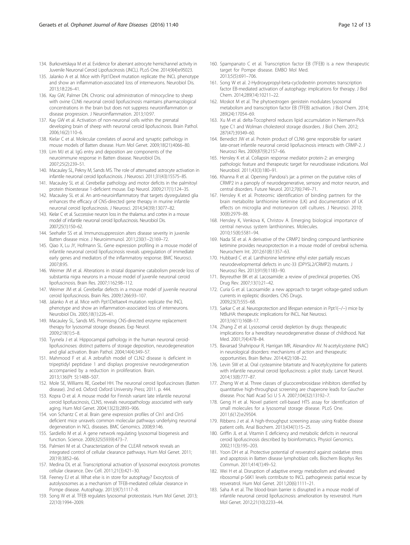- <span id="page-11-0"></span>134. Burkovetskaya M et al. Evidence for aberrant astrocyte hemichannel activity in Juvenile Neuronal Ceroid Lipofuscinosis (JNCL). PLoS One. 2014;9(4):e95023.
- 135. Jalanko A et al. Mice with Ppt1Dex4 mutation replicate the INCL phenotype and show an inflammation-associated loss of interneurons. Neurobiol Dis. 2013;18:226–41.
- 136. Kay GW, Palmer DN. Chronic oral administration of minocycline to sheep with ovine CLN6 neuronal ceroid lipofuscinosis maintains pharmacological concentrations in the brain but does not suppress neuroinflammation or disease progression. J Neuroinflammation. 2013;10:97.
- 137. Kay GW et al. Activation of non-neuronal cells within the prenatal developing brain of sheep with neuronal ceroid lipofuscinosis. Brain Pathol. 2006;16(2):110–6.
- 138. Kielar C et al. Molecular correlates of axonal and synaptic pathology in mouse models of Batten disease. Hum Mol Genet. 2009;18(21):4066–80.
- 139. Lim MJ et al. IgG entry and deposition are components of the neuroimmune response in Batten disease. Neurobiol Dis. 2007;25(2):239–51.
- 140. Macauley SL, Pekny M, Sands MS. The role of attenuated astrocyte activation in infantile neuronal ceroid lipofuscinosis. J Neurosci. 2011;31(43):15575–85.
- 141. Macauley SL et al. Cerebellar pathology and motor deficits in the palmitoyl protein thioesterase 1-deficient mouse. Exp Neurol. 2009;217(1):124–35.
- 142. Macauley SL et al. An anti-neuroinflammatory that targets dysregulated glia enhances the efficacy of CNS-directed gene therapy in murine infantile neuronal ceroid lipofuscinosis. J Neurosci. 2014;34(39):13077–82.
- 143. Kielar C et al. Successive neuron loss in the thalamus and cortex in a mouse model of infantile neuronal ceroid lipofuscinosis. Neurobiol Dis. 2007;25(1):150–62.
- 144. Seehafer SS et al. Immunosuppression alters disease severity in juvenile Batten disease mice. J Neuroimmunol. 2011;230(1–2):169–72.
- 145. Qiao X, Lu JY, Hofmann SL. Gene expression profiling in a mouse model of infantile neuronal ceroid lipofuscinosis reveals upregulation of immediate early genes and mediators of the inflammatory response. BMC Neurosci. 2007;8:95.
- 146. Weimer JM et al. Alterations in striatal dopamine catabolism precede loss of substantia nigra neurons in a mouse model of juvenile neuronal ceroid lipofuscinosis. Brain Res. 2007;1162:98–112.
- 147. Weimer JM et al. Cerebellar defects in a mouse model of juvenile neuronal ceroid lipofuscinosis. Brain Res. 2009;1266:93–107.
- 148. Jalanko A et al. Mice with Ppt1Deltaex4 mutation replicate the INCL phenotype and show an inflammation-associated loss of interneurons. Neurobiol Dis. 2005;18(1):226–41.
- 149. Macauley SL, Sands MS. Promising CNS-directed enzyme replacement therapy for lysosomal storage diseases. Exp Neurol. 2009;218(1):5–8.
- 150. Tyynela J et al. Hippocampal pathology in the human neuronal ceroidlipofuscinoses: distinct patterns of storage deposition, neurodegeneration and glial activation. Brain Pathol. 2004;14(4):349–57.
- 151. Mahmood F et al. A zebrafish model of CLN2 disease is deficient in tripeptidyl peptidase 1 and displays progressive neurodegeneration accompanied by a reduction in proliferation. Brain. 2013;136(Pt 5):1488–507.
- 152. Mole SE, Williams RE, Goebel HH. The neuronal ceroid lipofuscinoses (Batten disease). 2nd ed. Oxford: Oxford University Press; 2011. p. 444.
- 153. Kopra O et al. A mouse model for Finnish variant late infantile neuronal ceroid lipofuscinosis, CLN5, reveals neuropathology associated with early aging. Hum Mol Genet. 2004;13(23):2893–906.
- 154. von Schantz C et al. Brain gene expression profiles of Cln1 and Cln5 deficient mice unravels common molecular pathways underlying neuronal degeneration in NCL diseases. BMC Genomics. 2008;9:146.
- 155. Sardiello M et al. A gene network regulating lysosomal biogenesis and function. Science. 2009;325(5939):473–7.
- 156. Palmieri M et al. Characterization of the CLEAR network reveals an integrated control of cellular clearance pathways. Hum Mol Genet. 2011; 20(19):3852–66.
- 157. Medina DL et al. Transcriptional activation of lysosomal exocytosis promotes cellular clearance. Dev Cell. 2011;21(3):421–30.
- 158. Feeney EJ et al. What else is in store for autophagy? Exocytosis of autolysosomes as a mechanism of TFEB-mediated cellular clearance in Pompe disease. Autophagy. 2013;9(7):1117–8.
- 159. Song W et al. TFEB regulates lysosomal proteostasis. Hum Mol Genet. 2013; 22(10):1994–2009.
- 160. Spampanato C et al. Transcription factor EB (TFEB) is a new therapeutic target for Pompe disease. EMBO Mol Med. 2013;5(5):691–706.
- 161. Song W et al. 2-Hydroxypropyl-beta-cyclodextrin promotes transcription factor EB-mediated activation of autophagy: implications for therapy. J Biol Chem. 2014;289(14):10211–22.
- 162. Moskot M et al. The phytoestrogen genistein modulates lysosomal metabolism and transcription factor EB (TFEB) activation. J Biol Chem. 2014; 289(24):17054–69.
- 163. Xu M et al. delta-Tocopherol reduces lipid accumulation in Niemann-Pick type C1 and Wolman cholesterol storage disorders. J Biol Chem. 2012; 287(47):39349–60.
- 164. Benedict JW et al. Protein product of CLN6 gene responsible for variant late-onset infantile neuronal ceroid lipofuscinosis interacts with CRMP-2. J Neurosci Res. 2009;87(9):2157–66.
- 165. Hensley K et al. Collapsin response mediator protein-2: an emerging pathologic feature and therapeutic target for neurodisease indications. Mol Neurobiol. 2011;43(3):180–91.
- 166. Khanna R et al. Opening Pandora's jar: a primer on the putative roles of CRMP2 in a panoply of neurodegenerative, sensory and motor neuron, and central disorders. Future Neurol. 2012;7(6):749–71.
- 167. Hensley K et al. Proteomic identification of binding partners for the brain metabolite lanthionine ketimine (LK) and documentation of LK effects on microglia and motoneuron cell cultures. J Neurosci. 2010; 30(8):2979–88.
- 168. Hensley K, Venkova K, Christov A. Emerging biological importance of central nervous system lanthionines. Molecules. 2010;15(8):5581–94.
- 169. Nada SE et al. A derivative of the CRMP2 binding compound lanthionine ketimine provides neuroprotection in a mouse model of cerebral ischemia. Neurochem Int. 2012;61(8):1357–63.
- 170. Hubbard C et al. Lanthionine ketimine ethyl ester partially rescues neurodevelopmental defects in unc-33 (DPYSL2/CRMP2) mutants. J Neurosci Res. 2013;91(9):1183–90.
- 171. Beyreuther BK et al. Lacosamide: a review of preclinical properties. CNS Drug Rev. 2007;13(1):21–42.
- 172. Curia G et al. Lacosamide: a new approach to target voltage-gated sodium currents in epileptic disorders. CNS Drugs. 2009;23(7):555–68.
- 173. Sarkar C et al. Neuroprotection and lifespan extension in Ppt1(−/−) mice by NtBuHA: therapeutic implications for INCL. Nat Neurosci. 2013;16(11):1608–17.
- 174. Zhang Z et al. Lysosomal ceroid depletion by drugs: therapeutic implications for a hereditary neurodegenerative disease of childhood. Nat Med. 2001;7(4):478–84.
- 175. Bavarsad Shahripour R, Harrigan MR, Alexandrov AV. N-acetylcysteine (NAC) in neurological disorders: mechanisms of action and therapeutic opportunities. Brain Behav. 2014;4(2):108–22.
- 176. Levin SW et al. Oral cysteamine bitartrate and N-acetylcysteine for patients with infantile neuronal ceroid lipofuscinosis: a pilot study. Lancet Neurol. 2014;13(8):777–87.
- 177. Zheng W et al. Three classes of glucocerebrosidase inhibitors identified by quantitative high-throughput screening are chaperone leads for Gaucher disease. Proc Natl Acad Sci U S A. 2007;104(32):13192–7.
- 178. Geng H et al. Novel patient cell-based HTS assay for identification of small molecules for a lysosomal storage disease. PLoS One. 2011;6(12):e29504.
- 179. Ribbens J et al. A high-throughput screening assay using Krabbe disease patient cells. Anal Biochem. 2013;434(1):15–25.
- 180. Griffin JL et al. Vitamin E deficiency and metabolic deficits in neuronal ceroid lipofuscinosis described by bioinformatics. Physiol Genomics. 2002;11(3):195–203.
- 181. Yoon DH et al. Protective potential of resveratrol against oxidative stress and apoptosis in Batten disease lymphoblast cells. Biochem Biophys Res Commun. 2011;414(1):49–52.
- 182. Wei H et al. Disruption of adaptive energy metabolism and elevated ribosomal p-S6K1 levels contribute to INCL pathogenesis: partial rescue by resveratrol. Hum Mol Genet. 2011;20(6):1111–21.
- 183. Saha A et al. The blood-brain barrier is disrupted in a mouse model of infantile neuronal ceroid lipofuscinosis: amelioration by resveratrol. Hum Mol Genet. 2012;21(10):2233–44.